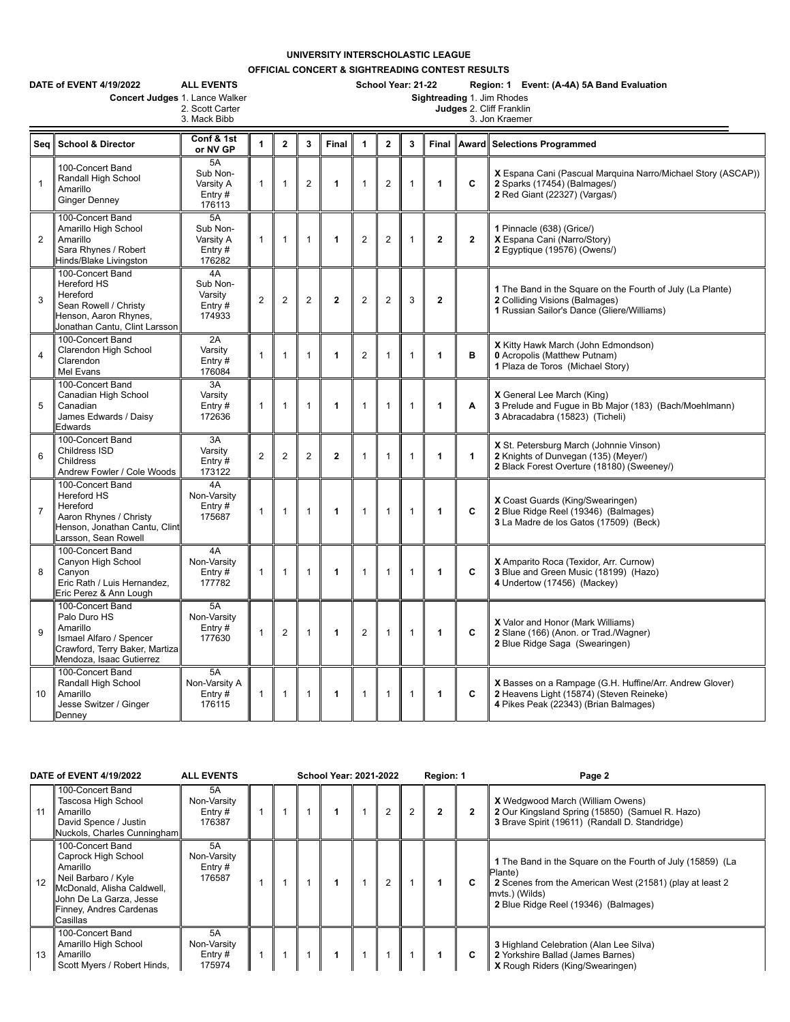## **UNIVERSITY INTERSCHOLASTIC LEAGUE**

**OFFICIAL CONCERT & SIGHTREADING CONTEST RESULTS**

|                | DATE of EVENT 4/19/2022<br><b>ALL EVENTS</b><br>Concert Judges 1. Lance Walker<br>2. Scott Carter<br>3. Mack Bibb                     | School Year: 21-22<br>Region: 1 Event: (A-4A) 5A Band Evaluation<br>Sightreading 1. Jim Rhodes<br>Judges 2. Cliff Franklin<br>3. Jon Kraemer |                      |                |                |                |                      |                |              |                |                |                                                                                                                                              |
|----------------|---------------------------------------------------------------------------------------------------------------------------------------|----------------------------------------------------------------------------------------------------------------------------------------------|----------------------|----------------|----------------|----------------|----------------------|----------------|--------------|----------------|----------------|----------------------------------------------------------------------------------------------------------------------------------------------|
| Seq            | <b>School &amp; Director</b>                                                                                                          | Conf & 1st<br>or NV GP                                                                                                                       | $\blacktriangleleft$ | $\overline{2}$ | $\mathbf{3}$   | Final          | $\blacktriangleleft$ | $\overline{2}$ | 3            |                |                | Final Award Selections Programmed                                                                                                            |
| $\mathbf{1}$   | 100-Concert Band<br>Randall High School<br>Amarillo<br><b>Ginger Denney</b>                                                           | 5A<br>Sub Non-<br>Varsity A<br>Entry#<br>176113                                                                                              | $\mathbf{1}$         | 1              | $\overline{2}$ | 1              | $\mathbf{1}$         | $\overline{2}$ | 1            | 1              | C              | X Espana Cani (Pascual Marquina Narro/Michael Story (ASCAP))<br>2 Sparks (17454) (Balmages/)<br>2 Red Giant (22327) (Vargas/)                |
| $\overline{2}$ | 100-Concert Band<br>Amarillo High School<br>Amarillo<br>Sara Rhynes / Robert<br>Hinds/Blake Livingston                                | 5A<br>Sub Non-<br>Varsity A<br>Entry#<br>176282                                                                                              | $\mathbf{1}$         | $\mathbf{1}$   | $\mathbf{1}$   | 1              | $\overline{2}$       | $\overline{2}$ | 1            | $\overline{2}$ | $\overline{2}$ | 1 Pinnacle (638) (Grice/)<br>X Espana Cani (Narro/Story)<br>2 Eqyptique (19576) (Owens/)                                                     |
| 3              | 100-Concert Band<br>Hereford HS<br>Hereford<br>Sean Rowell / Christy<br>Henson, Aaron Rhynes,<br>Jonathan Cantu, Clint Larsson        | 4A<br>Sub Non-<br>Varsity<br>Entry#<br>174933                                                                                                | $\overline{2}$       | $\mathbf{2}$   | $\overline{2}$ | $\overline{2}$ | $\overline{2}$       | $\overline{2}$ | 3            | $\mathbf{2}$   |                | 1 The Band in the Square on the Fourth of July (La Plante)<br>2 Colliding Visions (Balmages)<br>1 Russian Sailor's Dance (Gliere/Williams)   |
| $\overline{4}$ | 100-Concert Band<br>Clarendon High School<br>Clarendon<br>Mel Evans                                                                   | 2A<br>Varsity<br>Entry #<br>176084                                                                                                           | 1                    | 1              | $\mathbf{1}$   | 1              | $\overline{2}$       | $\mathbf{1}$   | 1            | 1              | в              | X Kitty Hawk March (John Edmondson)<br><b>0</b> Acropolis (Matthew Putnam)<br>1 Plaza de Toros (Michael Story)                               |
| 5              | 100-Concert Band<br>Canadian High School<br>Canadian<br>James Edwards / Daisy<br>Edwards                                              | 3A<br>Varsity<br>Entry $#$<br>172636                                                                                                         | $\mathbf{1}$         | $\mathbf{1}$   | $\overline{1}$ | 1              | $\mathbf{1}$         | $\mathbf{1}$   | 1            | 1              | A              | X General Lee March (King)<br>3 Prelude and Fugue in Bb Major (183) (Bach/Moehlmann)<br>3 Abracadabra (15823) (Ticheli)                      |
| 6              | 100-Concert Band<br>Childress ISD<br>Childress<br>Andrew Fowler / Cole Woods                                                          | 3A<br>Varsity<br>Entry#<br>173122                                                                                                            | $\overline{2}$       | $\overline{2}$ | $\overline{2}$ | $\overline{2}$ | $\mathbf{1}$         | $\mathbf{1}$   | 1            | 1              | $\mathbf{1}$   | X St. Petersburg March (Johnnie Vinson)<br>2 Knights of Dunvegan (135) (Meyer/)<br>2 Black Forest Overture (18180) (Sweeney/)                |
| $\overline{7}$ | 100-Concert Band<br>Hereford HS<br>Hereford<br>Aaron Rhynes / Christy<br>Henson, Jonathan Cantu, Clint<br>Larsson, Sean Rowell        | 4A<br>Non-Varsity<br>Entry $#$<br>175687                                                                                                     | 1                    | $\mathbf{1}$   | $\overline{1}$ | 1              | $\overline{1}$       | $\mathbf{1}$   | $\mathbf{1}$ | 1              | C              | X Coast Guards (King/Swearingen)<br>2 Blue Ridge Reel (19346) (Balmages)<br>3 La Madre de los Gatos (17509) (Beck)                           |
| 8              | 100-Concert Band<br>Canyon High School<br>Canyon<br>Eric Rath / Luis Hernandez,<br>Eric Perez & Ann Lough                             | 4A<br>Non-Varsity<br>Entry#<br>177782                                                                                                        | $\mathbf{1}$         | $\mathbf{1}$   | $\mathbf{1}$   | 1              | $\mathbf{1}$         | $\mathbf{1}$   | $\mathbf{1}$ | 1              | C              | X Amparito Roca (Texidor, Arr. Curnow)<br>3 Blue and Green Music (18199) (Hazo)<br>4 Undertow (17456) (Mackey)                               |
| 9              | 100-Concert Band<br>Palo Duro HS<br>Amarillo<br>Ismael Alfaro / Spencer<br>Crawford, Terry Baker, Martiza<br>Mendoza, Isaac Gutierrez | 5A<br>Non-Varsity<br>Entry $#$<br>177630                                                                                                     | $\mathbf{1}$         | 2              | $\mathbf{1}$   | 1              | $\overline{2}$       | $\mathbf{1}$   | $\mathbf{1}$ | 1              | C              | X Valor and Honor (Mark Williams)<br>2 Slane (166) (Anon. or Trad./Wagner)<br>2 Blue Ridge Saga (Swearingen)                                 |
| 10             | 100-Concert Band<br>Randall High School<br>Amarillo<br>Jesse Switzer / Ginger<br>Denney                                               | 5A<br>Non-Varsity A<br>Entry $#$<br>176115                                                                                                   | 1                    | $\mathbf{1}$   | $\mathbf{1}$   | 1              | $\mathbf{1}$         | $\mathbf{1}$   | $\mathbf{1}$ | 1              | C              | X Basses on a Rampage (G.H. Huffine/Arr. Andrew Glover)<br>2 Heavens Light (15874) (Steven Reineke)<br>4 Pikes Peak (22343) (Brian Balmages) |

|    | <b>DATE of EVENT 4/19/2022</b>                                                                                                                                             | <b>ALL EVENTS</b>                               | <b>School Year: 2021-2022</b> |  |  |  |  |                |                | Region: 1 |   | Page 2                                                                                                                                                                                      |
|----|----------------------------------------------------------------------------------------------------------------------------------------------------------------------------|-------------------------------------------------|-------------------------------|--|--|--|--|----------------|----------------|-----------|---|---------------------------------------------------------------------------------------------------------------------------------------------------------------------------------------------|
| 11 | 100-Concert Band<br>Tascosa High School<br>Amarillo<br>David Spence / Justin<br>Nuckols, Charles Cunningham                                                                | 5A<br>Non-Varsity<br>Entry $#$<br>176387        |                               |  |  |  |  | 2              | $\mathfrak{p}$ |           |   | <b>X</b> Wedqwood March (William Owens)<br>2 Our Kingsland Spring (15850) (Samuel R. Hazo)<br>3 Brave Spirit (19611) (Randall D. Standridge)                                                |
| 12 | 100-Concert Band<br>Caprock High School<br>Amarillo<br>Neil Barbaro / Kyle<br>McDonald, Alisha Caldwell,<br>John De La Garza, Jesse<br>Finney, Andres Cardenas<br>Casillas | 5A<br>Non-Varsity<br>Entry $#$<br>176587        |                               |  |  |  |  | $\overline{2}$ |                |           |   | 1 The Band in the Square on the Fourth of July (15859) (La<br>Plante)<br>2 Scenes from the American West (21581) (play at least 2<br>mvts.) (Wilds)<br>2 Blue Ridge Reel (19346) (Balmages) |
| 13 | 100-Concert Band<br>Amarillo High School<br>Amarillo<br>Scott Myers / Robert Hinds,                                                                                        | <b>5A</b><br>Non-Varsity<br>Entry $#$<br>175974 |                               |  |  |  |  |                |                |           | C | <b>3 Highland Celebration (Alan Lee Silva)</b><br>2 Yorkshire Ballad (James Barnes)<br><b>X</b> Rough Riders (King/Swearingen)                                                              |